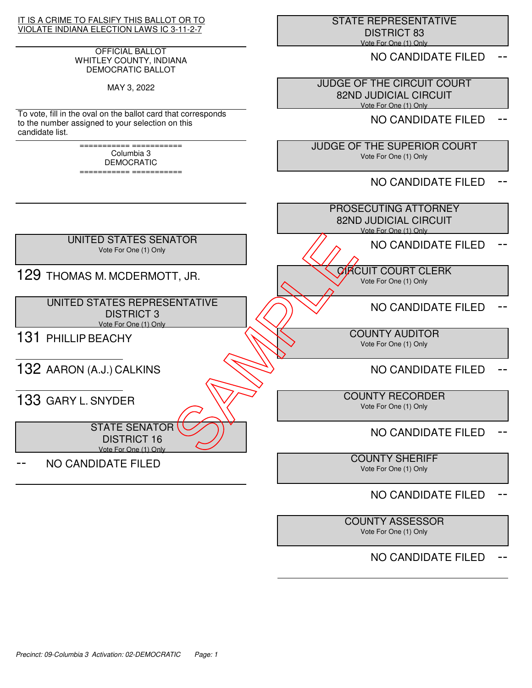## IT IS A CRIME TO FALSIFY THIS BALLOT OR TO VIOLATE INDIANA ELECTION LAWS IC 3-11-2-7

## OFFICIAL BALLOT WHITLEY COUNTY, INDIANA DEMOCRATIC BALLOT

MAY 3, 2022

To vote, fill in the oval on the ballot card that corresponds to the number assigned to your selection on this candidate list.

> =========== =========== Columbia 3 DEMOCRATIC

=========== ===========

 STATE REPRESENTATIVE DISTRICT 83 Vote For One (1) Only

NO CANDIDATE FILED

 JUDGE OF THE CIRCUIT COURT 82ND JUDICIAL CIRCUIT Vote For One (1) Only

NO CANDIDATE FILED

 JUDGE OF THE SUPERIOR COURT Vote For One (1) Only

NO CANDIDATE FILED



# NO CANDIDATE FILED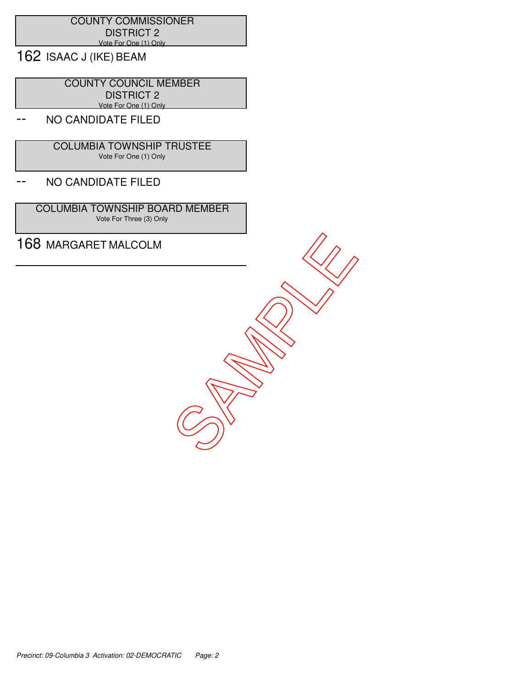## COUNTY COMMISSIONER DISTRICT 2 Vote For One (1) Only

162 ISAAC J (IKE) BEAM

 COUNTY COUNCIL MEMBER DISTRICT 2 Vote For One (1) Only

# NO CANDIDATE FILED

 COLUMBIA TOWNSHIP TRUSTEE Vote For One (1) Only

## -- NO CANDIDATE FILED

 COLUMBIA TOWNSHIP BOARD MEMBER Vote For Three (3) Only

168 MARGARET MALCOLM